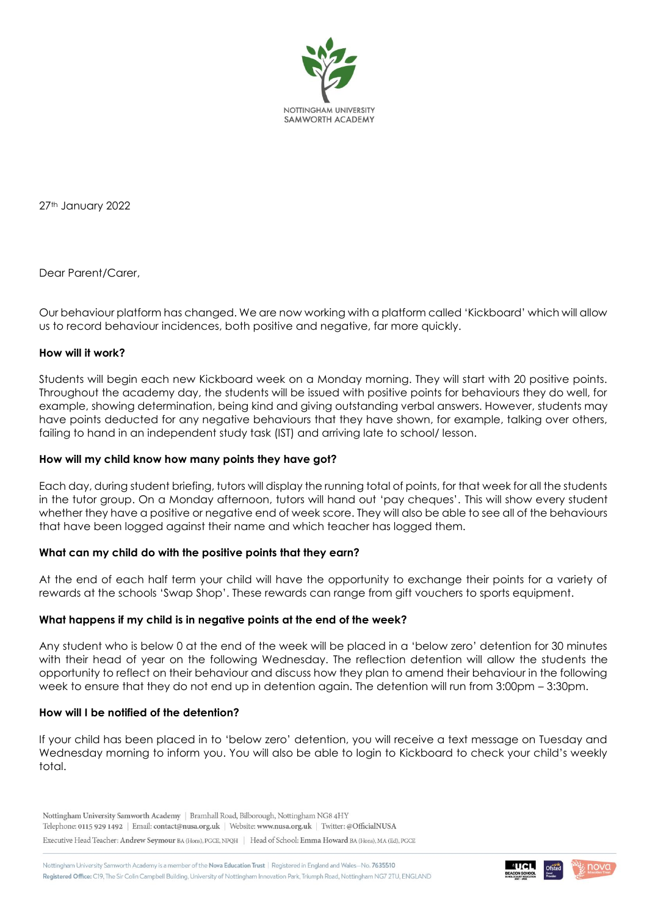

27th January 2022

Dear Parent/Carer,

Our behaviour platform has changed. We are now working with a platform called 'Kickboard' which will allow us to record behaviour incidences, both positive and negative, far more quickly.

### **How will it work?**

Students will begin each new Kickboard week on a Monday morning. They will start with 20 positive points. Throughout the academy day, the students will be issued with positive points for behaviours they do well, for example, showing determination, being kind and giving outstanding verbal answers. However, students may have points deducted for any negative behaviours that they have shown, for example, talking over others, failing to hand in an independent study task (IST) and arriving late to school/ lesson.

#### **How will my child know how many points they have got?**

Each day, during student briefing, tutors will display the running total of points, for that week for all the students in the tutor group. On a Monday afternoon, tutors will hand out 'pay cheques'. This will show every student whether they have a positive or negative end of week score. They will also be able to see all of the behaviours that have been logged against their name and which teacher has logged them.

# **What can my child do with the positive points that they earn?**

At the end of each half term your child will have the opportunity to exchange their points for a variety of rewards at the schools 'Swap Shop'. These rewards can range from gift vouchers to sports equipment.

#### **What happens if my child is in negative points at the end of the week?**

Any student who is below 0 at the end of the week will be placed in a 'below zero' detention for 30 minutes with their head of year on the following Wednesday. The reflection detention will allow the students the opportunity to reflect on their behaviour and discuss how they plan to amend their behaviour in the following week to ensure that they do not end up in detention again. The detention will run from 3:00pm – 3:30pm.

#### **How will I be notified of the detention?**

If your child has been placed in to 'below zero' detention, you will receive a text message on Tuesday and Wednesday morning to inform you. You will also be able to login to Kickboard to check your child's weekly total.

Nottingham University Samworth Academy | Bramhall Road, Bilborough, Nottingham NG8 4HY Telephone: 0115 929 1492 | Email: contact@nusa.org.uk | Website: www.nusa.org.uk | Twitter: @OfficialNUSA

Executive Head Teacher: Andrew Seymour BA (Hons), PGCE, NPQH | Head of School: Emma Howard BA (Hons), MA (Ed), PGCE

Nottingham University Samworth Academy is a member of the Nova Education Trust | Registered in England and Wales-No. 7635510 Registered Office: C19, The Sir Colin Campbell Building, University of Nottingham Innovation Park, Triumph Road, Nottingham NG7 2TU, ENGLAND